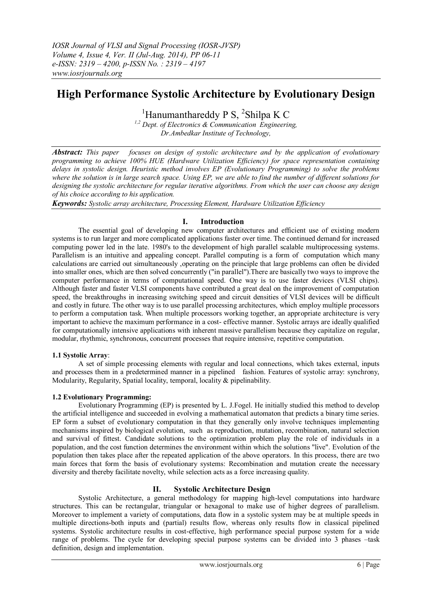# **High Performance Systolic Architecture by Evolutionary Design**

<sup>1</sup>Hanumanthareddy P S,  $^{2}$ Shilpa K C

*1,2 Dept. of Electronics & Communication Engineering, Dr.Ambedkar Institute of Technology,*

*Abstract: This paper focuses on design of systolic architecture and by the application of evolutionary programming to achieve 100% HUE (Hardware Utilization Efficiency) for space representation containing delays in systolic design. Heuristic method involves EP (Evolutionary Programming) to solve the problems where the solution is in large search space. Using EP, we are able to find the number of different solutions for designing the systolic architecture for regular iterative algorithms. From which the user can choose any design of his choice according to his application.*

*Keywords: Systolic array architecture, Processing Element, Hardware Utilization Efficiency*

# **I. Introduction**

The essential goal of developing new computer architectures and efficient use of existing modern systems is to run larger and more complicated applications faster over time. The continued demand for increased computing power led in the late. 1980's to the development of high parallel scalable multiprocessing systems. Parallelism is an intuitive and appealing concept. Parallel computing is a form of computation which many calculations are carried out simultaneously ,operating on the principle that large problems can often be divided into smaller ones, which are then solved concurrently ("in parallel").There are basically two ways to improve the computer performance in terms of computational speed. One way is to use faster devices (VLSI chips). Although faster and faster VLSI components have contributed a great deal on the improvement of computation speed, the breakthroughs in increasing switching speed and circuit densities of VLSI devices will be difficult and costly in future. The other way is to use parallel processing architectures, which employ multiple processors to perform a computation task. When multiple processors working together, an appropriate architecture is very important to achieve the maximum performance in a cost- effective manner. Systolic arrays are ideally qualified for computationally intensive applications with inherent massive parallelism because they capitalize on regular, modular, rhythmic, synchronous, concurrent processes that require intensive, repetitive computation.

# **1.1 Systolic Array**:

A set of simple processing elements with regular and local connections, which takes external, inputs and processes them in a predetermined manner in a pipelined fashion. Features of systolic array: synchrony, Modularity, Regularity, Spatial locality, temporal, locality & pipelinability.

# **1.2 Evolutionary Programming:**

Evolutionary Programming (EP) is presented by L. J.Fogel. He initially studied this method to develop the artificial intelligence and succeeded in evolving a mathematical automaton that predicts a binary time series. EP form a subset of evolutionary computation in that they generally only involve techniques implementing mechanisms inspired by biological evolution, such as reproduction, mutation, recombination, natural selection and survival of fittest. Candidate solutions to the optimization problem play the role of individuals in a population, and the cost function determines the environment within which the solutions "live". Evolution of the population then takes place after the repeated application of the above operators. In this process, there are two main forces that form the basis of evolutionary systems: Recombination and mutation create the necessary diversity and thereby facilitate novelty, while selection acts as a force increasing quality.

# **II. Systolic Architecture Design**

Systolic Architecture, a general methodology for mapping high-level computations into hardware structures. This can be rectangular, triangular or hexagonal to make use of higher degrees of parallelism. Moreover to implement a variety of computations, data flow in a systolic system may be at multiple speeds in multiple directions-both inputs and (partial) results flow, whereas only results flow in classical pipelined systems. Systolic architecture results in cost-effective, high performance special purpose system for a wide range of problems. The cycle for developing special purpose systems can be divided into 3 phases –task definition, design and implementation.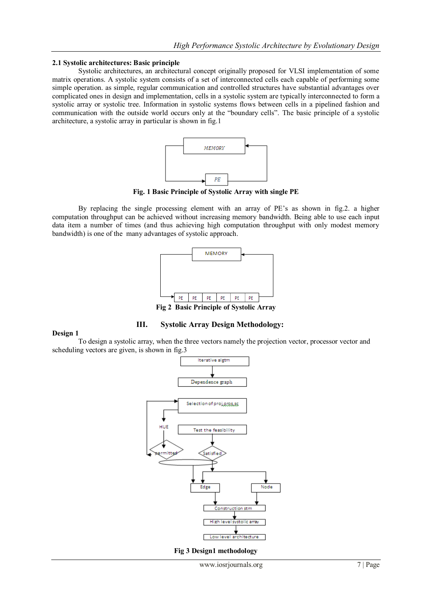#### **2.1 Systolic architectures: Basic principle**

Systolic architectures, an architectural concept originally proposed for VLSI implementation of some matrix operations. A systolic system consists of a set of interconnected cells each capable of performing some simple operation. as simple, regular communication and controlled structures have substantial advantages over complicated ones in design and implementation, cells in a systolic system are typically interconnected to form a systolic array or systolic tree. Information in systolic systems flows between cells in a pipelined fashion and communication with the outside world occurs only at the "boundary cells". The basic principle of a systolic architecture, a systolic array in particular is shown in fig.1



**Fig. 1 Basic Principle of Systolic Array with single PE**

By replacing the single processing element with an array of PE"s as shown in fig.2. a higher computation throughput can be achieved without increasing memory bandwidth. Being able to use each input data item a number of times (and thus achieving high computation throughput with only modest memory bandwidth) is one of the many advantages of systolic approach.



**Fig 2 Basic Principle of Systolic Array**

# **Design 1**

To design a systolic array, when the three vectors namely the projection vector, processor vector and scheduling vectors are given, is shown in fig.3

**III. Systolic Array Design Methodology:**



**Fig 3 Design1 methodology**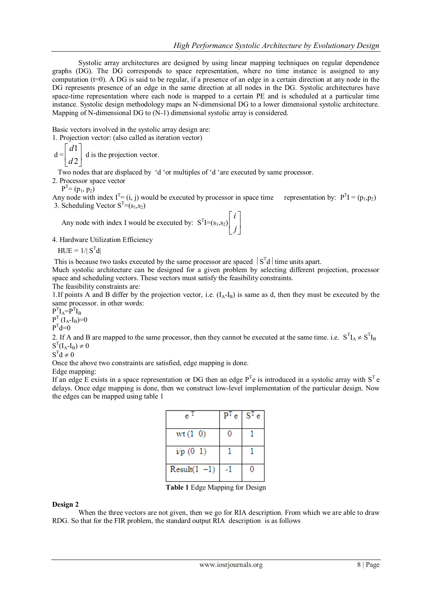Systolic array architectures are designed by using linear mapping techniques on regular dependence graphs (DG). The DG corresponds to space representation, where no time instance is assigned to any computation  $(t=0)$ . A DG is said to be regular, if a presence of an edge in a certain direction at any node in the DG represents presence of an edge in the same direction at all nodes in the DG. Systolic architectures have space-time representation where each node is mapped to a certain PE and is scheduled at a particular time instance. Systolic design methodology maps an N-dimensional DG to a lower dimensional systolic architecture. Mapping of N-dimensional DG to (N-1) dimensional systolic array is considered.

Basic vectors involved in the systolic array design are:

1. Projection vector: (also called as iteration vector)

 $d = \begin{vmatrix} d \\ d \end{vmatrix}$ J  $\overline{\phantom{a}}$ L L 2 1 *d d* d is the projection vector.

Two nodes that are displaced by "d "or multiples of "d "are executed by same processor.

2. Processor space vector

 $P^{T}=(p_1, p_2)$ 

Any node with index  $I^T = (i, j)$  would be executed by processor in space time representation by:  $P^T I = (p_1, p_2)$ 3. Scheduling Vector  $S^T=(s_1,s_2)$ 

Any node with index I would be executed by:  $S^{T}I=(s_1,s_2)\begin{bmatrix} 1\\ 1 \end{bmatrix}$  $\overline{\phantom{a}}$  $\overline{\phantom{a}}$  $\mathsf{I}$ L  $\mathsf{L}$ *j i*

4. Hardware Utilization Efficiency

 $HUE = 1/|S<sup>T</sup>d|$ 

This is because two tasks executed by the same processor are spaced  $\frac{S}{d}$  time units apart.

Much systolic architecture can be designed for a given problem by selecting different projection, processor space and scheduling vectors. These vectors must satisfy the feasibility constraints.

The feasibility constraints are:

1.If points A and B differ by the projection vector, i.e.  $(I_A-I_B)$  is same as d, then they must be executed by the same processor. in other words:

 $P^{T}I_{A}=P^{T}I_{B}$  $P_{-}^{T}$  (I<sub>A</sub>-I<sub>B</sub>)=0  $P^T d=0$ 

2. If A and B are mapped to the same processor, then they cannot be executed at the same time. i.e.  $S^{T}I_A \neq S^{T}I_B$  $S^{T}(I_{A} - I_{B}) \neq 0$ 

 $S^T d \neq 0$ 

Once the above two constraints are satisfied, edge mapping is done.

Edge mapping:

If an edge E exists in a space representation or DG then an edge  $P^T e$  is introduced in a systolic array with  $S^T e$ delays. Once edge mapping is done, then we construct low-level implementation of the particular design. Now the edges can be mapped using table 1

|                |   | $P^{T}e$ S <sup>T</sup> $e$ |
|----------------|---|-----------------------------|
| wt(1 0)        | n |                             |
| $i/p$ (0 1)    |   |                             |
| $Result(1 -1)$ |   |                             |

**Table 1** Edge Mapping for Design

## **Design 2**

When the three vectors are not given, then we go for RIA description. From which we are able to draw RDG. So that for the FIR problem, the standard output RIA description is as follows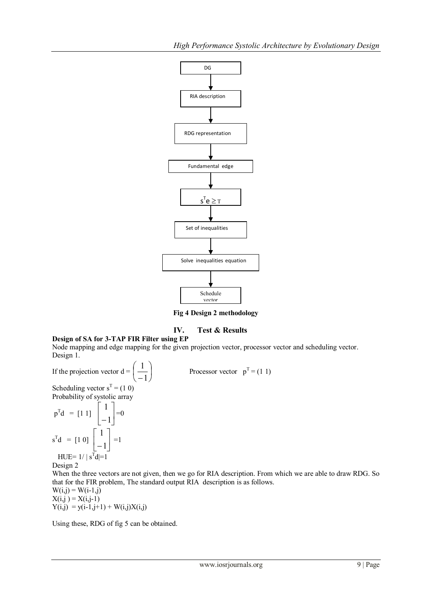

**Fig 4 Design 2 methodology**

### **IV. Test & Results**

### **Design of SA for 3-TAP FIR Filter using EP**

Node mapping and edge mapping for the given projection vector, processor vector and scheduling vector. Design 1.

If the projection vector  $d = \frac{1}{\cdot}$ J  $\left(\frac{1}{\cdot}\right)$  $\setminus$ ſ 1 1 Scheduling vector  $s^T = (1 \ 0)$ Probability of systolic array

$$
p^{T}d = [1 1] \begin{bmatrix} 1 \\ -1 \end{bmatrix} = 0
$$
  
\n
$$
s^{T}d = [1 0] \begin{bmatrix} 1 \\ -1 \end{bmatrix} = 1
$$
  
\n
$$
HUE = 1/ |s^{T}d| = 1
$$

Processor vector  $p^T = (1\;1)$ 

Design 2

When the three vectors are not given, then we go for RIA description. From which we are able to draw RDG. So that for the FIR problem, The standard output RIA description is as follows.

 $W(i,j) = W(i-1,j)$  $X(i, j) = X(i, j-1)$  $Y(i,j) = y(i-1,j+1) + W(i,j)X(i,j)$ 

Using these, RDG of fig 5 can be obtained.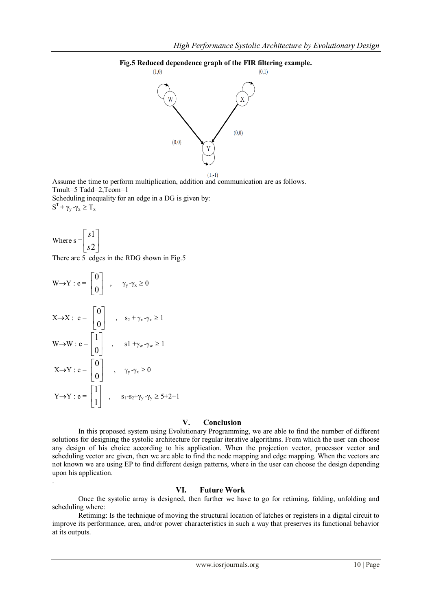### **Fig.5 Reduced dependence graph of the FIR filtering example.**



Assume the time to perform multiplication, addition and communication are as follows. Tmult=5 Tadd=2,Tcom=1

Scheduling inequality for an edge in a DG is given by:  $S^T + \gamma_y - \gamma_x \ge T_x$ 

Where 
$$
s = \begin{bmatrix} s1 \\ s2 \end{bmatrix}
$$

.

There are 5 edges in the RDG shown in Fig.5

$$
W \rightarrow Y : e = \begin{bmatrix} 0 \\ 0 \end{bmatrix} , \quad \gamma_y \cdot \gamma_x \ge 0
$$
  

$$
X \rightarrow X : e = \begin{bmatrix} 0 \\ 0 \end{bmatrix} , \quad s_2 + \gamma_x \cdot \gamma_x \ge 1
$$
  

$$
W \rightarrow W : e = \begin{bmatrix} 1 \\ 0 \end{bmatrix} , \quad s_1 + \gamma_w \cdot \gamma_w \ge 1
$$
  

$$
X \rightarrow Y : e = \begin{bmatrix} 0 \\ 0 \end{bmatrix} , \quad \gamma_y \cdot \gamma_x \ge 0
$$
  

$$
Y \rightarrow Y : e = \begin{bmatrix} 1 \\ 1 \end{bmatrix} , \quad s_1 \cdot s_2 + \gamma_y \cdot \gamma_y \ge 5 + 2 + 1
$$

#### **V. Conclusion**

In this proposed system using Evolutionary Programming, we are able to find the number of different solutions for designing the systolic architecture for regular iterative algorithms. From which the user can choose any design of his choice according to his application. When the projection vector, processor vector and scheduling vector are given, then we are able to find the node mapping and edge mapping. When the vectors are not known we are using EP to find different design patterns, where in the user can choose the design depending upon his application.

### **VI. Future Work**

Once the systolic array is designed, then further we have to go for retiming, folding, unfolding and scheduling where:

Retiming: Is the technique of moving the structural location of latches or registers in a digital circuit to improve its performance, area, and/or power characteristics in such a way that preserves its functional behavior at its outputs.